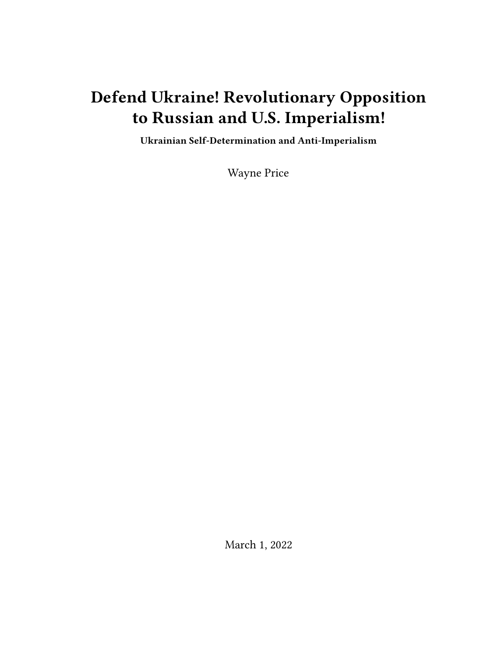# **Defend Ukraine! Revolutionary Opposition to Russian and U.S. Imperialism!**

**Ukrainian Self-Determination and Anti-Imperialism**

Wayne Price

March 1, 2022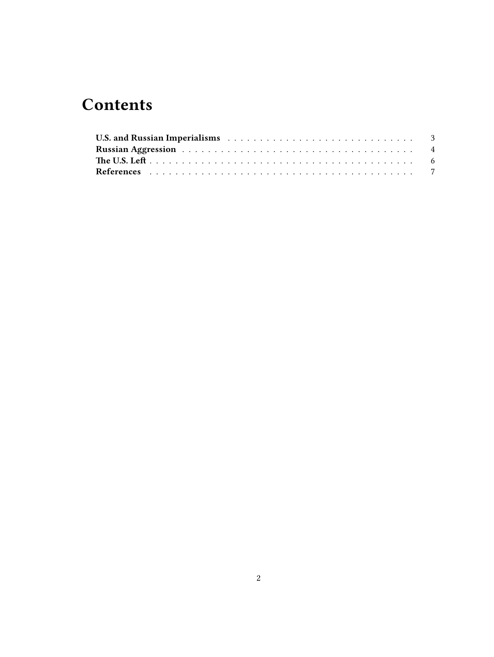## **Contents**

| U.S. and Russian Imperialisms (and the contract of the contract of the contract of the contract of the contract of the contract of the contract of the contract of the contract of the contract of the contract of the contrac |  |  |  |  |  |  |  |  |  |  |  |  |  |
|--------------------------------------------------------------------------------------------------------------------------------------------------------------------------------------------------------------------------------|--|--|--|--|--|--|--|--|--|--|--|--|--|
|                                                                                                                                                                                                                                |  |  |  |  |  |  |  |  |  |  |  |  |  |
|                                                                                                                                                                                                                                |  |  |  |  |  |  |  |  |  |  |  |  |  |
|                                                                                                                                                                                                                                |  |  |  |  |  |  |  |  |  |  |  |  |  |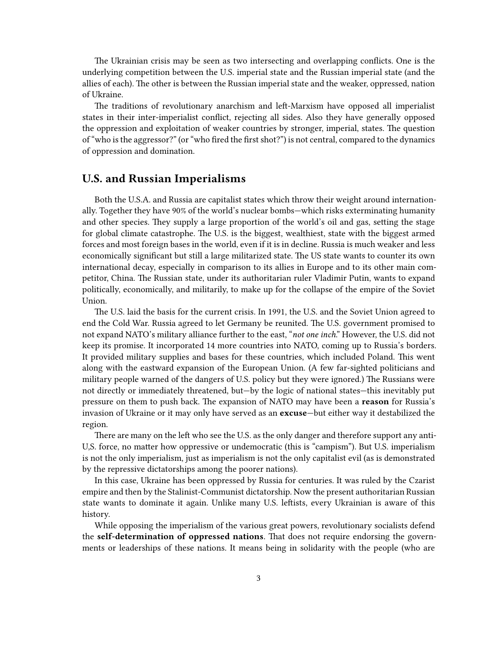The Ukrainian crisis may be seen as two intersecting and overlapping conflicts. One is the underlying competition between the U.S. imperial state and the Russian imperial state (and the allies of each). The other is between the Russian imperial state and the weaker, oppressed, nation of Ukraine.

The traditions of revolutionary anarchism and left-Marxism have opposed all imperialist states in their inter-imperialist conflict, rejecting all sides. Also they have generally opposed the oppression and exploitation of weaker countries by stronger, imperial, states. The question of "who is the aggressor?" (or "who fired the first shot?") is not central, compared to the dynamics of oppression and domination.

#### <span id="page-2-0"></span>**U.S. and Russian Imperialisms**

Both the U.S.A. and Russia are capitalist states which throw their weight around internationally. Together they have 90% of the world's nuclear bombs—which risks exterminating humanity and other species. They supply a large proportion of the world's oil and gas, setting the stage for global climate catastrophe. The U.S. is the biggest, wealthiest, state with the biggest armed forces and most foreign bases in the world, even if it is in decline. Russia is much weaker and less economically significant but still a large militarized state. The US state wants to counter its own international decay, especially in comparison to its allies in Europe and to its other main competitor, China. The Russian state, under its authoritarian ruler Vladimir Putin, wants to expand politically, economically, and militarily, to make up for the collapse of the empire of the Soviet Union.

The U.S. laid the basis for the current crisis. In 1991, the U.S. and the Soviet Union agreed to end the Cold War. Russia agreed to let Germany be reunited. The U.S. government promised to not expand NATO's military alliance further to the east, "*not one inch*." However, the U.S. did not keep its promise. It incorporated 14 more countries into NATO, coming up to Russia's borders. It provided military supplies and bases for these countries, which included Poland. This went along with the eastward expansion of the European Union. (A few far-sighted politicians and military people warned of the dangers of U.S. policy but they were ignored.) The Russians were not directly or immediately threatened, but—by the logic of national states—this inevitably put pressure on them to push back. The expansion of NATO may have been a **reason** for Russia's invasion of Ukraine or it may only have served as an **excuse**—but either way it destabilized the region.

There are many on the left who see the U.S. as the only danger and therefore support any anti-U,S. force, no matter how oppressive or undemocratic (this is "campism"). But U.S. imperialism is not the only imperialism, just as imperialism is not the only capitalist evil (as is demonstrated by the repressive dictatorships among the poorer nations).

In this case, Ukraine has been oppressed by Russia for centuries. It was ruled by the Czarist empire and then by the Stalinist-Communist dictatorship. Now the present authoritarian Russian state wants to dominate it again. Unlike many U.S. leftists, every Ukrainian is aware of this history.

While opposing the imperialism of the various great powers, revolutionary socialists defend the **self-determination of oppressed nations**. That does not require endorsing the governments or leaderships of these nations. It means being in solidarity with the people (who are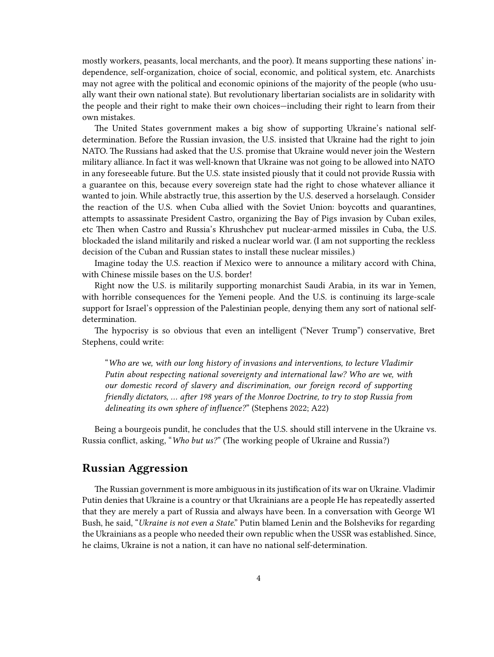mostly workers, peasants, local merchants, and the poor). It means supporting these nations' independence, self-organization, choice of social, economic, and political system, etc. Anarchists may not agree with the political and economic opinions of the majority of the people (who usually want their own national state). But revolutionary libertarian socialists are in solidarity with the people and their right to make their own choices—including their right to learn from their own mistakes.

The United States government makes a big show of supporting Ukraine's national selfdetermination. Before the Russian invasion, the U.S. insisted that Ukraine had the right to join NATO. The Russians had asked that the U.S. promise that Ukraine would never join the Western military alliance. In fact it was well-known that Ukraine was not going to be allowed into NATO in any foreseeable future. But the U.S. state insisted piously that it could not provide Russia with a guarantee on this, because every sovereign state had the right to chose whatever alliance it wanted to join. While abstractly true, this assertion by the U.S. deserved a horselaugh. Consider the reaction of the U.S. when Cuba allied with the Soviet Union: boycotts and quarantines, attempts to assassinate President Castro, organizing the Bay of Pigs invasion by Cuban exiles, etc Then when Castro and Russia's Khrushchev put nuclear-armed missiles in Cuba, the U.S. blockaded the island militarily and risked a nuclear world war. (I am not supporting the reckless decision of the Cuban and Russian states to install these nuclear missiles.)

Imagine today the U.S. reaction if Mexico were to announce a military accord with China, with Chinese missile bases on the U.S. border!

Right now the U.S. is militarily supporting monarchist Saudi Arabia, in its war in Yemen, with horrible consequences for the Yemeni people. And the U.S. is continuing its large-scale support for Israel's oppression of the Palestinian people, denying them any sort of national selfdetermination.

The hypocrisy is so obvious that even an intelligent ("Never Trump") conservative, Bret Stephens, could write:

"*Who are we, with our long history of invasions and interventions, to lecture Vladimir Putin about respecting national sovereignty and international law? Who are we, with our domestic record of slavery and discrimination, our foreign record of supporting friendly dictators, … after 198 years of the Monroe Doctrine, to try to stop Russia from delineating its own sphere of influence?*" (Stephens 2022; A22)

Being a bourgeois pundit, he concludes that the U.S. should still intervene in the Ukraine vs. Russia conflict, asking, "*Who but us?*" (The working people of Ukraine and Russia?)

#### <span id="page-3-0"></span>**Russian Aggression**

The Russian government is more ambiguous in its justification of its war on Ukraine. Vladimir Putin denies that Ukraine is a country or that Ukrainians are a people He has repeatedly asserted that they are merely a part of Russia and always have been. In a conversation with George Wl Bush, he said, "*Ukraine is not even a State*." Putin blamed Lenin and the Bolsheviks for regarding the Ukrainians as a people who needed their own republic when the USSR was established. Since, he claims, Ukraine is not a nation, it can have no national self-determination.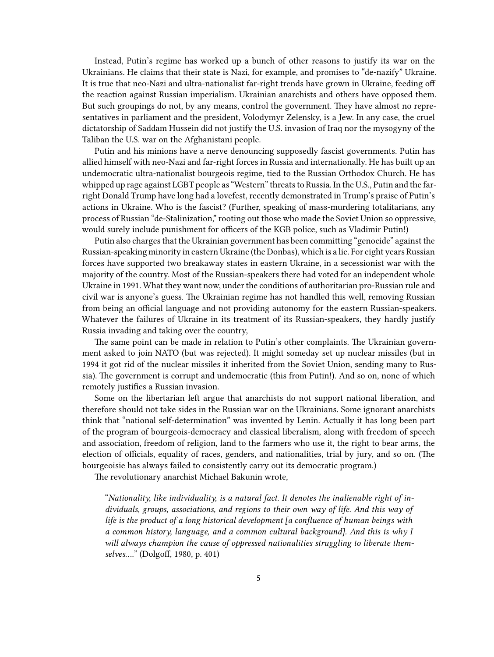Instead, Putin's regime has worked up a bunch of other reasons to justify its war on the Ukrainians. He claims that their state is Nazi, for example, and promises to "de-nazify" Ukraine. It is true that neo-Nazi and ultra-nationalist far-right trends have grown in Ukraine, feeding off the reaction against Russian imperialism. Ukrainian anarchists and others have opposed them. But such groupings do not, by any means, control the government. They have almost no representatives in parliament and the president, Volodymyr Zelensky, is a Jew. In any case, the cruel dictatorship of Saddam Hussein did not justify the U.S. invasion of Iraq nor the mysogyny of the Taliban the U.S. war on the Afghanistani people.

Putin and his minions have a nerve denouncing supposedly fascist governments. Putin has allied himself with neo-Nazi and far-right forces in Russia and internationally. He has built up an undemocratic ultra-nationalist bourgeois regime, tied to the Russian Orthodox Church. He has whipped up rage against LGBT people as "Western" threats to Russia. In the U.S., Putin and the farright Donald Trump have long had a lovefest, recently demonstrated in Trump's praise of Putin's actions in Ukraine. Who is the fascist? (Further, speaking of mass-murdering totalitarians, any process of Russian "de-Stalinization," rooting out those who made the Soviet Union so oppressive, would surely include punishment for officers of the KGB police, such as Vladimir Putin!)

Putin also charges that the Ukrainian government has been committing "genocide" against the Russian-speaking minority in eastern Ukraine (the Donbas), which is a lie. For eight years Russian forces have supported two breakaway states in eastern Ukraine, in a secessionist war with the majority of the country. Most of the Russian-speakers there had voted for an independent whole Ukraine in 1991. What they want now, under the conditions of authoritarian pro-Russian rule and civil war is anyone's guess. The Ukrainian regime has not handled this well, removing Russian from being an official language and not providing autonomy for the eastern Russian-speakers. Whatever the failures of Ukraine in its treatment of its Russian-speakers, they hardly justify Russia invading and taking over the country,

The same point can be made in relation to Putin's other complaints. The Ukrainian government asked to join NATO (but was rejected). It might someday set up nuclear missiles (but in 1994 it got rid of the nuclear missiles it inherited from the Soviet Union, sending many to Russia). The government is corrupt and undemocratic (this from Putin!). And so on, none of which remotely justifies a Russian invasion.

Some on the libertarian left argue that anarchists do not support national liberation, and therefore should not take sides in the Russian war on the Ukrainians. Some ignorant anarchists think that "national self-determination" was invented by Lenin. Actually it has long been part of the program of bourgeois-democracy and classical liberalism, along with freedom of speech and association, freedom of religion, land to the farmers who use it, the right to bear arms, the election of officials, equality of races, genders, and nationalities, trial by jury, and so on. (The bourgeoisie has always failed to consistently carry out its democratic program.)

The revolutionary anarchist Michael Bakunin wrote,

"*Nationality, like individuality, is a natural fact. It denotes the inalienable right of individuals, groups, associations, and regions to their own way of life. And this way of life is the product of a long historical development [a confluence of human beings with a common history, language, and a common cultural background]. And this is why I will always champion the cause of oppressed nationalities struggling to liberate themselves….*" (Dolgoff, 1980, p. 401)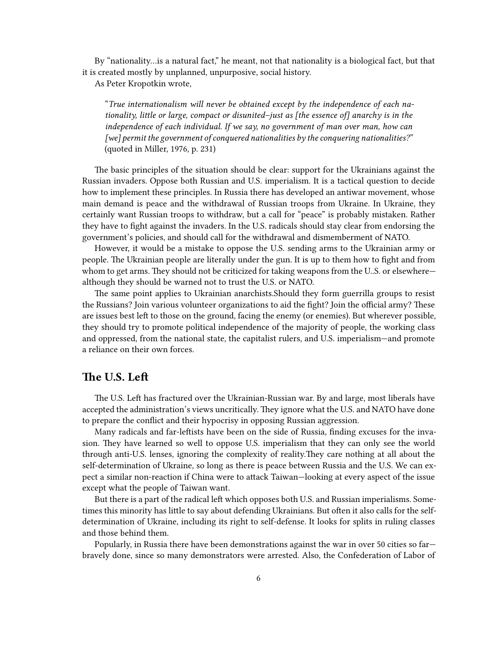By "nationality…is a natural fact," he meant, not that nationality is a biological fact, but that it is created mostly by unplanned, unpurposive, social history.

As Peter Kropotkin wrote,

"*True internationalism will never be obtained except by the independence of each nationality, little or large, compact or disunited–just as [the essence of] anarchy is in the independence of each individual. If we say, no government of man over man, how can [we] permit the government of conquered nationalities by the conquering nationalities?*" (quoted in Miller, 1976, p. 231)

The basic principles of the situation should be clear: support for the Ukrainians against the Russian invaders. Oppose both Russian and U.S. imperialism. It is a tactical question to decide how to implement these principles. In Russia there has developed an antiwar movement, whose main demand is peace and the withdrawal of Russian troops from Ukraine. In Ukraine, they certainly want Russian troops to withdraw, but a call for "peace" is probably mistaken. Rather they have to fight against the invaders. In the U.S. radicals should stay clear from endorsing the government's policies, and should call for the withdrawal and dismemberment of NATO.

However, it would be a mistake to oppose the U.S. sending arms to the Ukrainian army or people. The Ukrainian people are literally under the gun. It is up to them how to fight and from whom to get arms. They should not be criticized for taking weapons from the U.S. or elsewhere although they should be warned not to trust the U.S. or NATO.

The same point applies to Ukrainian anarchists.Should they form guerrilla groups to resist the Russians? Join various volunteer organizations to aid the fight? Join the official army? These are issues best left to those on the ground, facing the enemy (or enemies). But wherever possible, they should try to promote political independence of the majority of people, the working class and oppressed, from the national state, the capitalist rulers, and U.S. imperialism—and promote a reliance on their own forces.

#### <span id="page-5-0"></span>**The U.S. Left**

The U.S. Left has fractured over the Ukrainian-Russian war. By and large, most liberals have accepted the administration's views uncritically. They ignore what the U.S. and NATO have done to prepare the conflict and their hypocrisy in opposing Russian aggression.

Many radicals and far-leftists have been on the side of Russia, finding excuses for the invasion. They have learned so well to oppose U.S. imperialism that they can only see the world through anti-U.S. lenses, ignoring the complexity of reality.They care nothing at all about the self-determination of Ukraine, so long as there is peace between Russia and the U.S. We can expect a similar non-reaction if China were to attack Taiwan—looking at every aspect of the issue except what the people of Taiwan want.

But there is a part of the radical left which opposes both U.S. and Russian imperialisms. Sometimes this minority has little to say about defending Ukrainians. But often it also calls for the selfdetermination of Ukraine, including its right to self-defense. It looks for splits in ruling classes and those behind them.

Popularly, in Russia there have been demonstrations against the war in over 50 cities so far bravely done, since so many demonstrators were arrested. Also, the Confederation of Labor of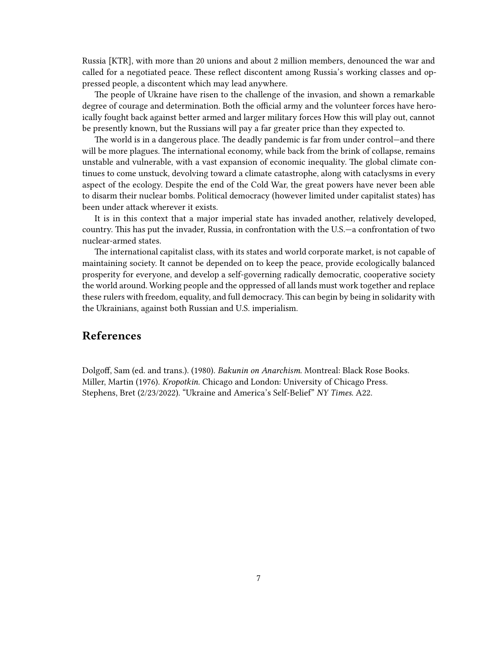Russia [KTR], with more than 20 unions and about 2 million members, denounced the war and called for a negotiated peace. These reflect discontent among Russia's working classes and oppressed people, a discontent which may lead anywhere.

The people of Ukraine have risen to the challenge of the invasion, and shown a remarkable degree of courage and determination. Both the official army and the volunteer forces have heroically fought back against better armed and larger military forces How this will play out, cannot be presently known, but the Russians will pay a far greater price than they expected to.

The world is in a dangerous place. The deadly pandemic is far from under control—and there will be more plagues. The international economy, while back from the brink of collapse, remains unstable and vulnerable, with a vast expansion of economic inequality. The global climate continues to come unstuck, devolving toward a climate catastrophe, along with cataclysms in every aspect of the ecology. Despite the end of the Cold War, the great powers have never been able to disarm their nuclear bombs. Political democracy (however limited under capitalist states) has been under attack wherever it exists.

It is in this context that a major imperial state has invaded another, relatively developed, country. This has put the invader, Russia, in confrontation with the U.S.—a confrontation of two nuclear-armed states.

The international capitalist class, with its states and world corporate market, is not capable of maintaining society. It cannot be depended on to keep the peace, provide ecologically balanced prosperity for everyone, and develop a self-governing radically democratic, cooperative society the world around. Working people and the oppressed of all lands must work together and replace these rulers with freedom, equality, and full democracy. This can begin by being in solidarity with the Ukrainians, against both Russian and U.S. imperialism.

### <span id="page-6-0"></span>**References**

Dolgoff, Sam (ed. and trans.). (1980). *Bakunin on Anarchism*. Montreal: Black Rose Books. Miller, Martin (1976). *Kropotkin*. Chicago and London: University of Chicago Press. Stephens, Bret (2/23/2022). "Ukraine and America's Self-Belief" *NY Times*. A22.